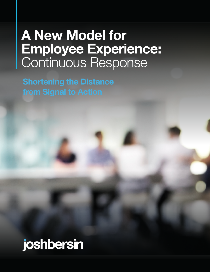# **A New Model for Employee Experience:**  Continuous Response

# joshbersin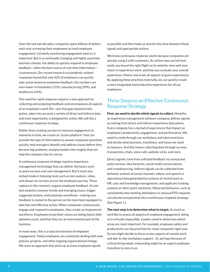Over the last two decades, companies spent billions of dollars each year surveying their employees to track employee engagement. Certainly monitoring engagement metrics is important. But in a continually changing and highly uncertain business climate, the ability to quickly respond to employee feedback—often the best source of real-time information is paramount. Our recent research on pandemic-related responses found that only 42% of employers can quickly take action based on employee feedback; the numbers are even lower in hospitality (21%), manufacturing (29%), and healthcare (35%).

This need for rapid response requires a new approach to collecting and analyzing feedback and encompasses all aspects of an employee's work life—one that goes beyond static pulses, takes into account a variety of direct and indirect data, and most importantly, is designed for action. We call this a continuous response strategy.

Rather than creating surveys to measure engagement at moments in time, we create an "action platform" that can provide the type of information to answer employee questions quickly, help managers identify and address issues before they become big problems, and give leaders the insights that can help the company stay its course.

A continuous response strategy requires experience management technology that can deliver the basics such as pulse surveys and case management. But it must also embed modern listening tools such as text analysis, video, and always-on surveys across the employee journey. These capture in-the-moment, organic employee feedback. AI and text analytics uncover trends and emerging issues, trigger suggested actions, and automate workflows—making sure feedback is routed to the person on the team best equipped to take fast and effective action. When companies continuously engage and respond to employees, they create an empowered workforce. Employees know their voices are being heard, their opinions count, and that they are an instrumental part of the business.

In many ways, this is a natural extension of employee engagement. Today employees are constantly dealing with new policies, projects, and often ongoing organizational change. We want an approach that picks up as many employee signals

as possible and then helps us shorten the time between those signals and appropriate actions.

We know continuous response works because companies are already using it with customers. An airline now can tell how easily you found the right flight on its website, how well your check-in experience went, and how you evaluate your overall experience. Hotels now track all aspects of guest experiences. By applying these practices internally, we can quickly create a more integrated and productive experience for all our employees.

# Three Steps to an Effective Continuous Response Strategy

First, we need to decide which signals to collect. Medallia, an experience management software company, defines signals as coming from direct and indirect experience data points. Every company has a myriad of experiences that impact an employee's productivity, engagement, and performance. We need to comb through our workplace and talent practices and decide what journeys, transitions, and issues we want to measure. And this means collecting data through surveys, transactions, chats, voice calls, website visits, and more.

Direct signals come from solicited feedback via annual and pulse surveys, idea factories, social media conversations, and crowdsourcing. Indirect signals can be collected from behavior analysis of social channels, videos, and speech or operational data generated by systems of record (such as HR, case and knowledge management, and applicant tracking systems or other point solutions). Observed behaviors, such as consistently late meeting attendance or unusual PTO requests, can also be incorporated into a continuous response strategy. (See Figure 1.)

The next step is to determine what to target. As much as we'd like to assess all aspects of employee engagement, doing so is virtually impossible. Leaders need to determine which areas are most important. For example, employee safety and productivity are top priorities for most companies right now. So you might decide to focus on key aspects of remote work and day-to-day workplace support. Or, perhaps because of critical hiring needs, onboarding might be an urgent employee transition to zero in on.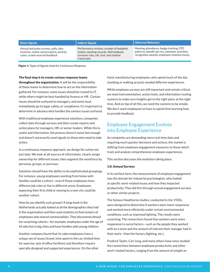|  | <b>Direct Signals</b> |  |
|--|-----------------------|--|
|  |                       |  |

Annual and pulse surveys, polls, idea factories, online conversations, priority cases, crowd-sourced feedback

Performance reviews, number of helpdesk tickets, meeting records, 360 feedback, turnover rate, call, chat, and chatbot transcripts

#### Indirect Signals **Indirect Signals Indirect Signals**

Meeting attendance, badge tracking, PTO patterns, benefit opt-ins, volunteer activities, recognition awards, employee relations issues

Figure 1: Types of Signals Used for Continuous Response

#### The final step is to create various response teams

throughout the organization. It will be the responsibility of these teams to determine how to act on the information gathered. For instance, some issues should be routed to IT, while others might be best handled by finance or HR. Certain issues should be surfaced to managers, and some must immediately go to legal, safety, or compliance. It's important to determine in advance who handles the various issues surfaced.

With traditional employee experience solutions, companies collect data through surveys and then create reports and action plans for managers, HR, or senior leaders. While this is useful and informative, the process doesn't move fast enough and doesn't necessarily send signals to those who need to take action.

In a continuous response approach, we design for action not just data. We look at all sources of information, clearly assign ownership for different issues, then segment the workforce by personas, groups, or journeys.

Solutions should have the ability to do sophisticated groupings. For instance, young employees working from home with families could be a cohort—even if those employees have different job roles or live in different areas. Employees expecting their first child or moving to a new city could be another cohort.

How do you identify such groups? A large bank in the Netherlands actually looked at all the demographics they had in the organization and then used statistics to find clusters of employees who shared commonalities. They discovered almost ten surprising cohorts—for example, employees under the age of 45 who live in big cities and have families with young children.

Another company found that its sales employees have a unique set of issues (travel, time spent in the car, limited time for exercise, lack of office facilities) and therefore require specially designed and supported experiences. On the other

hand, manufacturing employees, who spend much of the day standing or walking around, needed different experiences.

While employee surveys are still important and remain critical, we need instrumentation, action tools, and information routing systems to make sure insights get to the right place at the right time. And on top of all this, we need the systems to be simple. We don't want employees to have to spend time learning how to provide feedback.

## Employee Engagement Evolves into Employee Experience

As companies are demanding more real-time data and requiring much quicker decisions and actions, the market is shifting from employee engagement measures to those which track and analyze comprehensive employee experiences.

This section discusses the evolution taking place.

#### 1.0: Annual Surveys

In its earliest form, the measurement of employee engagement was the domain for industrial psychologists, who looked at specific work-related issues and how they impacted productivity. They did this through annual engagement surveys or other similar projects.

The famous Hawthorne studies, conducted in the 1920s, were designed to determine if workers were more responsive and worked more efficiently under certain environmental conditions, such as improved lighting. The results were surprising. The researchers found that workers were more responsive to social factors—such as the people they worked with on a team and the amount of interest their manager had in their work—than the factors (lighting, etc.).

Fredrick Taylor, Carl Jung, and many others have since studied the connections between employee productivity and other work-related factors, ranging from the amount of weight an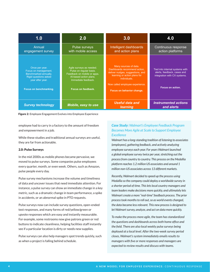| 1.0                                                                                                                                                  | 2.0                                                                                                                                                       | 3.0                                                                                                                                                                                                       | 4.0                                                                                                                |
|------------------------------------------------------------------------------------------------------------------------------------------------------|-----------------------------------------------------------------------------------------------------------------------------------------------------------|-----------------------------------------------------------------------------------------------------------------------------------------------------------------------------------------------------------|--------------------------------------------------------------------------------------------------------------------|
| Annual<br>engagement survey                                                                                                                          | Pulse surveys<br>with mobile access                                                                                                                       | Intelligent dashboards<br>and action plans                                                                                                                                                                | Continuous response<br>action platforms                                                                            |
| Once per year.<br>Focus on management.<br><b>Benchmarked annually.</b><br><b>Rigid questions asked</b><br>year after year.<br>Focus on benchmarking. | Agile surveys as needed.<br>Pulse on regular basis.<br>Feedback on mobile or apps.<br>Al-based action plans.<br>Immediate feedback.<br>Focus on feedback. | Many sources of data.<br>Dashboards recommend action,<br>deliver nudges, suggestions, and<br>learning or action plans for<br>individuals.<br>Now called employee experience.<br>Focus on behavior change. | Tied into internal systems with<br>alerts, feedback, cases and<br>integration with CX systems.<br>Focus on action. |
| <b>Survey technology</b>                                                                                                                             | Mobile, easy to use                                                                                                                                       | Useful data and<br><b>learning</b>                                                                                                                                                                        | <b>Instrumented actions</b><br>and alerts                                                                          |



employee had to carry in a factory to the amount of freedom and empowerment in a job.

While these studies and traditional annual surveys are useful, they are far from actionable.

### 2.0: Pulse Surveys

In the mid 2000s as mobile phones became pervasive, we moved to pulse surveys. Some companies pulse employees every quarter, month, or even week. Others, such as Amazon, pulse people every day.

Pulse survey mechanisms increase the volume and timeliness of data and uncover issues that need immediate attention. For instance, a pulse survey can show an immediate change in a key metric, such as a dramatic change in team performance, a spike in accidents, or an abnormal spike in PTO requests.

Pulse surveys now can include survey questions, open-ended text responses, and many forms of red/yellow/green or upvote responses which are easy and instantly measurable. For example, some restrooms now give patrons green or red buttons to indicate cleanliness, helping facilities staff instantly see if a particular location is dirty or needs new supplies.

Pulse surveys can also help managers spot trends quickly, such as when a project is falling behind schedule.

## *Case Study: Walmart's Employee Feedback Program Becomes More Agile at Scale to Support Employee Excellence*

*Walmart has a long-standing tradition of listening to associates (employees), gathering feedback, and actively analyzing employee surveys each year. For years Walmart launched a global employee survey twice per year, stretching out the process from country to country. This process on the Medallia platform reaches 1.2 million US associates and around 1 million non-US associates across 13 different markets.*

*Recently, Walmart decided to speed up the process using Medallia so the company could deploy a worldwide survey in a shorter period of time. This lets local country managers and team leaders make decisions more quickly, and ultimately lets Walmart create a more "real-time" feedback process. The prior process took months to roll out, so as world events changed, the data became less relevant. This new process is designed to let Walmart survey, analyze, and act on data more quickly.*

*To make the process more agile, the team has standardized the questions and dashboards across both home office and the field. There are also local weekly pulse surveys being deployed at a local level. After the two-week survey period closes, Walmart's system immediately emails results to managers with five or more responses and managers are expected to review results and discuss with teams.*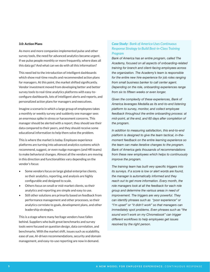## 3.0: Action Plans

As more and more companies implemented pulse and other survey tools, the need for advanced analytics became urgent. If we pulse people monthly or more frequently, where does all this data go? And what can we do with all this information?

This need led to the introduction of intelligent dashboards which show real-time results and recommended action plans for managers. At this point, the market shifted significantly. Vendor investment moved from developing better and better survey tools to real-time analytics platforms with easy-toconfigure dashboards, lots of intelligent alerts and reports, and personalized action plans for managers and executives.

Imagine a scenario in which a large group of employees takes a monthly or weekly survey and suddenly one manager sees an enormous spike in stress or harassment concerns. This manager should be alerted with a report, they should see their data compared to their peers, and they should receive some educational information to help them solve the problem.

This is where the market is today. Employee experience platforms are turning into advanced analytics systems which recommend, suggest, or even nudge managers (and HR teams) to make behavioral changes. Almost all the vendors are moving in this direction and functionalities vary depending on the vendor's focus:

- Some vendors focus on large global enterprise clients, so their analytics, reporting, and analysis are highly configurable and designed to scale.
- Others focus on small or mid-market clients, so their analytics and reporting are simple and easy to use.
- Still other solutions are primarily based on feedback from performance management and other processes, so their analytics correlate to goals, development plans, and other leadership strategies.

This is a stage where many heritage vendors have fallen behind. Suppliers who built great benchmarks and survey tools were focused on question design, data correlation, and benchmarks. With the market shift, issues such as scalability, ease of use, AI-driven recommendations, security and domain management, and easy-to-use reporting are now in demand.

## *Case Study: Bank of America Uses Continuous Response Strategy to Build Best-in-Class Training Program*

*Bank of America has an entire program, called The Academy, focused on all aspects of onboarding-related training for branch and client-facing employees across the organization. The Academy's team is responsible for the entire new hire experience for job roles ranging from small business banker to call center agent. Depending on the role, onboarding experiences range from six to fifteen weeks or even longer.*

*Given the complexity of these experiences, Bank of America leverages Medallia as its end-to-end listening platform to survey, monitor, and collect employee feedback throughout the entire onboarding process: at mid-point, at the end, and 60 days after completion of the program.* 

*In addition to measuring satisfaction, this end-to-end platform is designed to give the team tactical, in-themoment feedback on the entire learning experience so the team can make iterative changes to the program. Bank of America gets thousands of recommendations from these new employees which helps to continuously improve the program.*

*The training team has built very specific triggers into its surveys. If a score is low or alert words are found, the manager is automatically informed and they reach out to get more information. Every month, the role managers look at all the feedback for each role group and determine the various areas in need of improvement. The triggers are very powerful. They can identify phrases such as "poor experience" or "I'm upset" or "it didn't work" so that managers can immediately spot problems. Even phrases such as "the sound won't work on my Chromebook" can trigger different workflows to help employees get issues resolved by the right person.*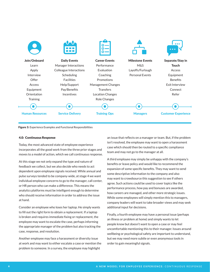

Figure 3: Experience Examples and Functional Responsibilities

### 4.0: Continuous Response

Today, the most advanced state of employee experience incorporates all the good work from the three prior stages and moves to a model of action, which we call continuous response.

At this stage we not only expand the type and nature of feedback we collect, but we also decide who needs to act dependent upon employee signals received. While annual and pulse surveys tended to be company-wide, at stage 4 we want individual employee concerns to go to the manager, call center, or HR person who can make a difference. This means the analytics platforms must be intelligent enough to determine who should receive information in order to address the issue at hand.

Consider an employee who loses her laptop. He simply wants to fill out the right form to obtain a replacement. If a laptop is broken and requires immediate fixing or replacement, the employee may want to escalate the case, perhaps informing the appropriate manager of the problem but also tracking the case, response, and resolution.

Another employee may face a harassment or diversity issue at work and may want to either escalate a case or mention the problem to someone. In a survey, the employee may highlight

an issue that reflects on a manager or team. But, if the problem isn't resolved, the employee may want to open a harassment case which should then be routed to a specific compliance team and may not go to the manager at all.

A third employee may simply be unhappy with the company's benefits or leave policy and would like to recommend the expansion of some specific benefits. They may want to send some descriptive information to the company and also may want to crowdsource this suggestion to see if others agree. Such actions could be used to cover topics like the performance process, how pay and bonuses are awarded, how careers are managed, and other more strategic issues. While some employees will simply mention this to managers, company leaders will want to take broader views and may seek additional input for decisions.

Finally, a fourth employee may have a personal issue (perhaps an illness or problem at home) and simply wants to let people know but doesn't want to open a case or may feel uncomfortable mentioning this to their manager. Issues around wellbeing or psychological safety are important to understand, but we may need more subtle or even anonymous tools in order to gain meaningful signals.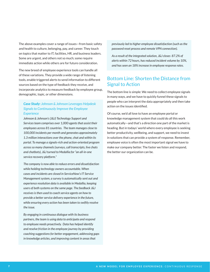The above examples cover a range of issues—from basic safety and health to culture, belonging, pay, and career. They touch on topics that matter to IT, facilities, HR, and business leaders. Some are urgent, and others not so much; some require immediate action while others are for future consideration.

The new breed of employee experience tools can handle all of these variations. They provide a wide range of listening tools, enable triggered alerts to send information to different sources based on the type of feedback they receive, and incorporate analytics to measure feedback by employee group, demographic, topic, or other dimensions.

## *Case Study: Johnson & Johnson Leverages Helpdesk Signals to Continuously Improve the Employee Experience*

*Johnson & Johnson's (J&J) Technology Support and Services team comprises over 1,000 agents that assist their employees across 81 countries. The team manages close to 100,000 incidents per month and generates approximately 1.3 million interactions over the phone, chat and within its portal. To manage a signals-rich and action-oriented program across so many channels (surveys, call transcripts, live chats and chatbots), J&J turned to Medallia for "an all-in-one service recovery platform."* 

*The company is now able to reduce errors and dissatisfaction while holding technology owners accountable. When cases and incidents are closed in ServiceNow's IT Service Management system, a survey is automatically sent out and experience resolution data is available in Medallia, keeping users of both systems on the same page. The feedback J&J receives is then used to coach service agents on how to provide a better service delivery experience in the future, while ensuring every action has been taken to swiftly resolve the issue.*

*By engaging in continuous dialogue with its business partners, the team is using data to anticipate and respond to employee needs proactively. Data has helped identify and resolve friction in the employee journey by providing coaching suggestions for better engagement, addressing gaps in knowledge articles, and improving content in areas that* 

*previously led to higher employee dissatisfaction (such as the password reset process and remote VPN connection).*

*As a result of the integrated solution, J&J closes 87.2% of alerts within 72 hours, has reduced incident volume by 10%, and has seen an 18% increase in employee response rates.* 

# Bottom Line: Shorten the Distance from Signal to Action

The bottom line is simple: We need to collect employee signals in many ways, and we have to quickly funnel these signals to people who can interpret the data appropriately and then take action on the issues identified.

Of course, we'd all love to have an employee portal or knowledge management system that could do all this work automatically—and that's a direction one part of the market is heading. But in todays' world where every employee is seeking better productivity, wellbeing, and support, we need to invest in solutions that can provide a system of response. Remember, employee voice is often the most important signal we have to make our company better. The faster we listen and respond, the better our organization can be.